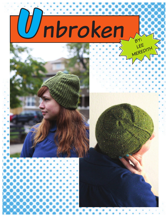